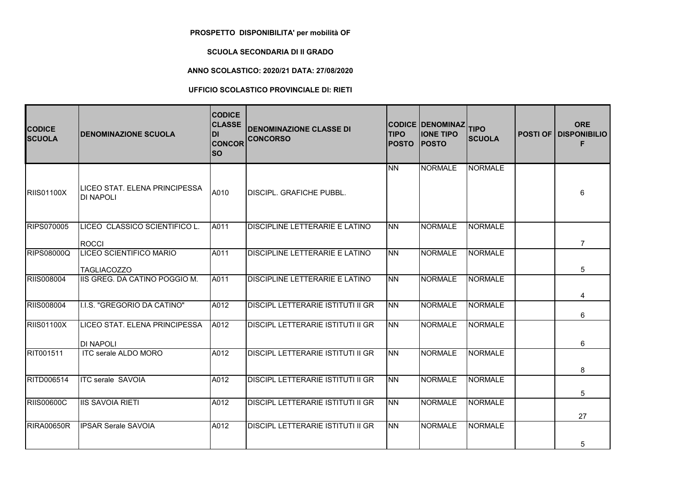## **PROSPETTO DISPONIBILITA' per mobilità OF**

## **SCUOLA SECONDARIA DI II GRADO**

## **ANNO SCOLASTICO: 2020/21 DATA: 27/08/2020**

## **UFFICIO SCOLASTICO PROVINCIALE DI: RIETI**

| <b>CODICE</b><br><b>SCUOLA</b> | <b>DENOMINAZIONE SCUOLA</b>                                | <b>CODICE</b><br><b>CLASSE</b><br>IDI<br><b>CONCOR</b><br><b>SO</b> | <b>DENOMINAZIONE CLASSE DI</b><br><b>CONCORSO</b> | <b>TIPO</b><br><b>IPOSTO</b> | <b>CODICE DENOMINAZ</b><br><b>IONE TIPO</b><br><b>IPOSTO</b> | <b>TIPO</b><br><b>SCUOLA</b> | <b>ORE</b><br><b>POSTI OF DISPONIBILIO</b><br>F |
|--------------------------------|------------------------------------------------------------|---------------------------------------------------------------------|---------------------------------------------------|------------------------------|--------------------------------------------------------------|------------------------------|-------------------------------------------------|
| <b>RIIS01100X</b>              | <b>ILICEO STAT. ELENA PRINCIPESSA</b><br><b>IDI NAPOLI</b> | A010                                                                | <b>DISCIPL, GRAFICHE PUBBL.</b>                   | <b>INN</b>                   | NORMALE                                                      | <b>NORMALE</b>               | 6                                               |
| <b>RIPS070005</b>              | LICEO CLASSICO SCIENTIFICO L.<br>ROCCI                     | A011                                                                | DISCIPLINE LETTERARIE E LATINO                    | <b>INN</b>                   | <b>NORMALE</b>                                               | <b>NORMALE</b>               | $\overline{7}$                                  |
| <b>RIPS08000Q</b>              | LICEO SCIENTIFICO MARIO<br><b>TAGLIACOZZO</b>              | A011                                                                | <b>DISCIPLINE LETTERARIE E LATINO</b>             | INN                          | <b>NORMALE</b>                                               | <b>NORMALE</b>               | 5                                               |
| <b>RIIS008004</b>              | IIS GREG. DA CATINO POGGIO M.                              | A011                                                                | DISCIPLINE LETTERARIE E LATINO                    | INN.                         | NORMALE                                                      | NORMALE                      | 4                                               |
| <b>RIIS008004</b>              | I.I.S. "GREGORIO DA CATINO"                                | A012                                                                | <b>DISCIPL LETTERARIE ISTITUTI II GR</b>          | INN.                         | <b>NORMALE</b>                                               | <b>NORMALE</b>               | 6                                               |
| <b>RIIS01100X</b>              | LICEO STAT. ELENA PRINCIPESSA<br><b>DI NAPOLI</b>          | A012                                                                | <b>DISCIPL LETTERARIE ISTITUTI II GR</b>          | <b>NN</b>                    | <b>NORMALE</b>                                               | <b>NORMALE</b>               | 6                                               |
| RIT001511                      | ITC serale ALDO MORO                                       | A012                                                                | <b>DISCIPL LETTERARIE ISTITUTI II GR</b>          | <b>INN</b>                   | NORMALE                                                      | <b>NORMALE</b>               | 8                                               |
| RITD006514                     | <b>ITC</b> serale SAVOIA                                   | A012                                                                | <b>DISCIPL LETTERARIE ISTITUTI II GR</b>          | INN.                         | <b>NORMALE</b>                                               | <b>NORMALE</b>               | 5                                               |
| <b>RIIS00600C</b>              | <b>IIS SAVOIA RIETI</b>                                    | A012                                                                | DISCIPL LETTERARIE ISTITUTI II GR                 | INN.                         | <b>NORMALE</b>                                               | <b>NORMALE</b>               | 27                                              |
| <b>RIRA00650R</b>              | <b>IPSAR Serale SAVOIA</b>                                 | A012                                                                | <b>DISCIPL LETTERARIE ISTITUTI II GR</b>          | INN.                         | <b>NORMALE</b>                                               | <b>NORMALE</b>               | 5                                               |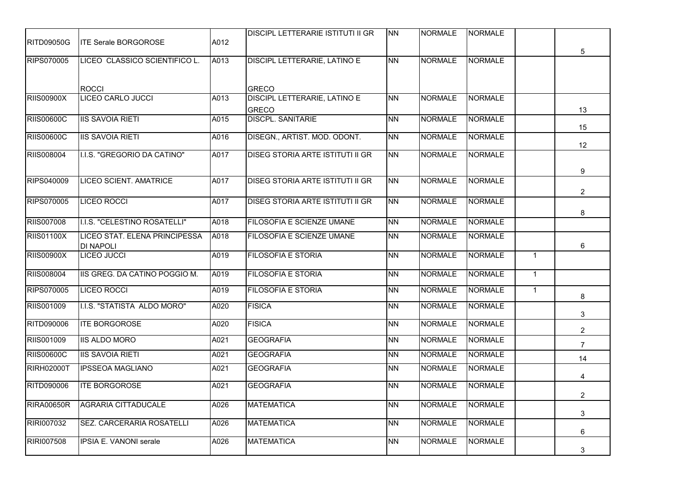|                   |                                   |      | <b>DISCIPL LETTERARIE ISTITUTI II GR</b>     | <b>NN</b> | <b>NORMALE</b> | NORMALE        |              |                                  |
|-------------------|-----------------------------------|------|----------------------------------------------|-----------|----------------|----------------|--------------|----------------------------------|
| <b>RITD09050G</b> | <b>ITE Serale BORGOROSE</b>       | A012 |                                              |           |                |                |              |                                  |
| RIPS070005        | LICEO CLASSICO SCIENTIFICO L.     | A013 | <b>DISCIPL LETTERARIE, LATINO E</b>          | <b>NN</b> | <b>NORMALE</b> | <b>NORMALE</b> |              | 5                                |
|                   |                                   |      |                                              |           |                |                |              |                                  |
| <b>RIIS00900X</b> | <b>ROCCI</b><br>LICEO CARLO JUCCI | A013 | <b>GRECO</b><br>DISCIPL LETTERARIE, LATINO E | <b>NN</b> | <b>NORMALE</b> | <b>NORMALE</b> |              |                                  |
|                   |                                   |      | <b>GRECO</b>                                 |           |                |                |              | 13                               |
| <b>RIIS00600C</b> | <b>IIS SAVOIA RIETI</b>           | A015 | <b>DISCPL. SANITARIE</b>                     | <b>NN</b> | <b>NORMALE</b> | <b>NORMALE</b> |              |                                  |
|                   |                                   |      |                                              |           |                |                |              | 15                               |
| <b>RIIS00600C</b> | <b>IIS SAVOIA RIETI</b>           | A016 | DISEGN., ARTIST. MOD. ODONT.                 | <b>NN</b> | <b>NORMALE</b> | <b>NORMALE</b> |              | 12                               |
| <b>RIIS008004</b> | I.I.S. "GREGORIO DA CATINO"       | A017 | <b>DISEG STORIA ARTE ISTITUTI II GR</b>      | <b>NN</b> | <b>NORMALE</b> | <b>NORMALE</b> |              |                                  |
|                   |                                   |      |                                              |           |                |                |              | 9                                |
| <b>RIPS040009</b> | <b>LICEO SCIENT. AMATRICE</b>     | A017 | <b>DISEG STORIA ARTE ISTITUTI II GR</b>      | <b>NN</b> | <b>NORMALE</b> | <b>NORMALE</b> |              |                                  |
|                   |                                   |      |                                              |           |                |                |              | 2                                |
| <b>RIPS070005</b> | LICEO ROCCI                       | A017 | <b>DISEG STORIA ARTE ISTITUTI II GR</b>      | <b>NN</b> | <b>NORMALE</b> | <b>NORMALE</b> |              |                                  |
|                   |                                   |      |                                              |           |                |                |              | 8                                |
| <b>RIIS007008</b> | I.I.S. "CELESTINO ROSATELLI"      | A018 | FILOSOFIA E SCIENZE UMANE                    | <b>NN</b> | <b>NORMALE</b> | <b>NORMALE</b> |              |                                  |
| <b>RIIS01100X</b> | LICEO STAT. ELENA PRINCIPESSA     | A018 | FILOSOFIA E SCIENZE UMANE                    | <b>NN</b> | <b>NORMALE</b> | <b>NORMALE</b> |              |                                  |
|                   | <b>DI NAPOLI</b>                  |      |                                              |           |                |                |              | 6                                |
| <b>RIIS00900X</b> | <b>LICEO JUCCI</b>                | A019 | <b>FILOSOFIA E STORIA</b>                    | <b>NN</b> | <b>NORMALE</b> | <b>NORMALE</b> | $\mathbf{1}$ |                                  |
| <b>RIIS008004</b> | IIS GREG. DA CATINO POGGIO M.     | A019 | <b>FILOSOFIA E STORIA</b>                    | <b>NN</b> | <b>NORMALE</b> | <b>NORMALE</b> | $\mathbf{1}$ |                                  |
| <b>RIPS070005</b> | LICEO ROCCI                       | A019 | FILOSOFIA E STORIA                           | <b>NN</b> | <b>NORMALE</b> | <b>NORMALE</b> | $\mathbf{1}$ | 8                                |
| RIIS001009        | I.I.S. "STATISTA ALDO MORO"       | A020 | <b>FISICA</b>                                | <b>NN</b> | <b>NORMALE</b> | <b>NORMALE</b> |              | 3                                |
| RITD090006        | <b>ITE BORGOROSE</b>              | A020 | <b>FISICA</b>                                | <b>NN</b> | <b>NORMALE</b> | <b>NORMALE</b> |              |                                  |
| RIIS001009        | <b>IIS ALDO MORO</b>              | A021 | <b>GEOGRAFIA</b>                             | <b>NN</b> | <b>NORMALE</b> | <b>NORMALE</b> |              | $\overline{2}$<br>$\overline{7}$ |
| <b>RIIS00600C</b> | <b>IIS SAVOIA RIETI</b>           | A021 | <b>GEOGRAFIA</b>                             | <b>NN</b> | <b>NORMALE</b> | <b>NORMALE</b> |              | 14                               |
| <b>RIRH02000T</b> | <b>IPSSEOA MAGLIANO</b>           | A021 | <b>GEOGRAFIA</b>                             | INN       | <b>NORMALE</b> | <b>NORMALE</b> |              |                                  |
| <b>RITD090006</b> | <b>ITE BORGOROSE</b>              | A021 | <b>GEOGRAFIA</b>                             | <b>NN</b> | <b>NORMALE</b> | NORMALE        |              | 4                                |
| <b>RIRA00650R</b> | <b>AGRARIA CITTADUCALE</b>        | A026 | <b>MATEMATICA</b>                            | <b>NN</b> | <b>NORMALE</b> | <b>NORMALE</b> |              | $\overline{2}$                   |
|                   |                                   |      |                                              |           |                |                |              | 3                                |
| RIRI007032        | SEZ. CARCERARIA ROSATELLI         | A026 | <b>MATEMATICA</b>                            | <b>NN</b> | <b>NORMALE</b> | <b>NORMALE</b> |              | 6                                |
| <b>RIRI007508</b> | IPSIA E. VANONI serale            | A026 | <b>MATEMATICA</b>                            | <b>NN</b> | <b>NORMALE</b> | <b>NORMALE</b> |              |                                  |
|                   |                                   |      |                                              |           |                |                |              | 3                                |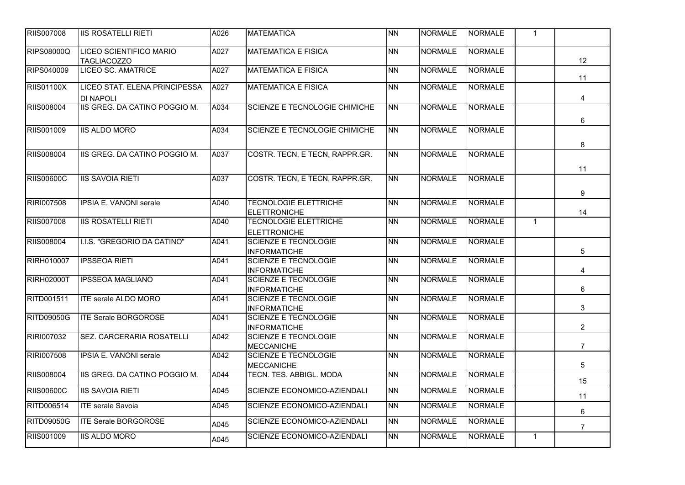| <b>RIIS007008</b> | IIS ROSATELLI RIETI                               | A026 | <b>MATEMATICA</b>                                   | <b>NN</b> | <b>NORMALE</b> | <b>NORMALE</b> | $\mathbf{1}$   |                |
|-------------------|---------------------------------------------------|------|-----------------------------------------------------|-----------|----------------|----------------|----------------|----------------|
| <b>RIPS08000Q</b> | LICEO SCIENTIFICO MARIO<br><b>TAGLIACOZZO</b>     | A027 | <b>MATEMATICA E FISICA</b>                          | <b>NN</b> | <b>NORMALE</b> | <b>NORMALE</b> |                | 12             |
| RIPS040009        | <b>LICEO SC. AMATRICE</b>                         | A027 | <b>MATEMATICA E FISICA</b>                          | <b>NN</b> | <b>NORMALE</b> | <b>NORMALE</b> |                | 11             |
| <b>RIIS01100X</b> | LICEO STAT. ELENA PRINCIPESSA<br><b>DI NAPOLI</b> | A027 | <b>MATEMATICA E FISICA</b>                          | <b>NN</b> | <b>NORMALE</b> | <b>NORMALE</b> |                | $\overline{4}$ |
| <b>RIIS008004</b> | IIS GREG. DA CATINO POGGIO M.                     | A034 | <b>SCIENZE E TECNOLOGIE CHIMICHE</b>                | <b>NN</b> | <b>NORMALE</b> | <b>NORMALE</b> |                | 6              |
| RIIS001009        | <b>IIS ALDO MORO</b>                              | A034 | <b>SCIENZE E TECNOLOGIE CHIMICHE</b>                | <b>NN</b> | <b>NORMALE</b> | <b>NORMALE</b> |                | 8              |
| RIIS008004        | IIS GREG. DA CATINO POGGIO M.                     | A037 | COSTR. TECN, E TECN, RAPPR.GR.                      | <b>NN</b> | <b>NORMALE</b> | <b>NORMALE</b> |                | 11             |
| <b>RIIS00600C</b> | <b>IIS SAVOIA RIETI</b>                           | A037 | COSTR. TECN, E TECN, RAPPR.GR.                      | <b>NN</b> | <b>NORMALE</b> | <b>NORMALE</b> |                | 9              |
| RIRI007508        | <b>IPSIA E. VANONI serale</b>                     | A040 | <b>TECNOLOGIE ELETTRICHE</b><br><b>ELETTRONICHE</b> | <b>NN</b> | <b>NORMALE</b> | <b>NORMALE</b> |                | 14             |
| <b>RIIS007008</b> | <b>IIS ROSATELLI RIETI</b>                        | A040 | <b>TECNOLOGIE ELETTRICHE</b><br><b>ELETTRONICHE</b> | <b>NN</b> | <b>NORMALE</b> | <b>NORMALE</b> | $\mathbf{1}$   |                |
| RIIS008004        | I.I.S. "GREGORIO DA CATINO"                       | A041 | <b>SCIENZE E TECNOLOGIE</b><br><b>INFORMATICHE</b>  | <b>NN</b> | <b>NORMALE</b> | <b>NORMALE</b> |                | 5              |
| RIRH010007        | <b>IPSSEOA RIETI</b>                              | A041 | <b>SCIENZE E TECNOLOGIE</b><br><b>INFORMATICHE</b>  | <b>NN</b> | <b>NORMALE</b> | <b>NORMALE</b> |                | 4              |
| <b>RIRH02000T</b> | <b>IPSSEOA MAGLIANO</b>                           | A041 | <b>SCIENZE E TECNOLOGIE</b><br><b>INFORMATICHE</b>  | <b>NN</b> | <b>NORMALE</b> | <b>NORMALE</b> |                | $\,6\,$        |
| RITD001511        | <b>ITE serale ALDO MORO</b>                       | A041 | <b>SCIENZE E TECNOLOGIE</b><br><b>INFORMATICHE</b>  | <b>NN</b> | <b>NORMALE</b> | <b>NORMALE</b> |                | $\mathbf{3}$   |
| <b>RITD09050G</b> | <b>ITE Serale BORGOROSE</b>                       | A041 | <b>SCIENZE E TECNOLOGIE</b><br><b>INFORMATICHE</b>  | <b>NN</b> | <b>NORMALE</b> | <b>NORMALE</b> |                | $\overline{2}$ |
| RIRI007032        | SEZ. CARCERARIA ROSATELLI                         | A042 | <b>SCIENZE E TECNOLOGIE</b><br><b>MECCANICHE</b>    | <b>NN</b> | <b>NORMALE</b> | <b>NORMALE</b> |                | $\overline{7}$ |
| RIRI007508        | <b>IPSIA E. VANONI serale</b>                     | A042 | <b>SCIENZE E TECNOLOGIE</b><br><b>MECCANICHE</b>    | <b>NN</b> | <b>NORMALE</b> | <b>NORMALE</b> |                | 5              |
| <b>RIIS008004</b> | IIS GREG. DA CATINO POGGIO M.                     | A044 | TECN. TES. ABBIGL. MODA                             | <b>NN</b> | <b>NORMALE</b> | <b>NORMALE</b> |                | 15             |
| <b>RIIS00600C</b> | <b>IIS SAVOIA RIETI</b>                           | A045 | SCIENZE ECONOMICO-AZIENDALI                         | <b>NN</b> | <b>NORMALE</b> | <b>NORMALE</b> |                | 11             |
| RITD006514        | <b>ITE</b> serale Savoia                          | A045 | SCIENZE ECONOMICO-AZIENDALI                         | <b>NN</b> | <b>NORMALE</b> | <b>NORMALE</b> |                | $\,6\,$        |
| <b>RITD09050G</b> | <b>ITE Serale BORGOROSE</b>                       | A045 | SCIENZE ECONOMICO-AZIENDALI                         | <b>NN</b> | <b>NORMALE</b> | <b>NORMALE</b> |                | $\overline{7}$ |
| RIIS001009        | <b>IIS ALDO MORO</b>                              | A045 | SCIENZE ECONOMICO-AZIENDALI                         | <b>NN</b> | <b>NORMALE</b> | <b>NORMALE</b> | $\overline{1}$ |                |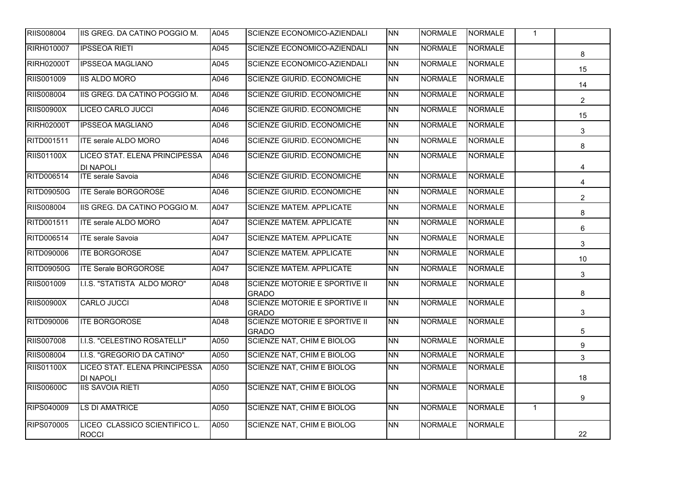| <b>RIIS008004</b> | IIS GREG. DA CATINO POGGIO M.                     | A045              | SCIENZE ECONOMICO-AZIENDALI                   | <b>NN</b> | <b>NORMALE</b> | <b>NORMALE</b> | $\mathbf{1}$ |                |
|-------------------|---------------------------------------------------|-------------------|-----------------------------------------------|-----------|----------------|----------------|--------------|----------------|
| RIRH010007        | <b>IPSSEOA RIETI</b>                              | A045              | SCIENZE ECONOMICO-AZIENDALI                   | <b>NN</b> | <b>NORMALE</b> | <b>NORMALE</b> |              | 8              |
| <b>RIRH02000T</b> | <b>IPSSEOA MAGLIANO</b>                           | A045              | SCIENZE ECONOMICO-AZIENDALI                   | <b>NN</b> | <b>NORMALE</b> | <b>NORMALE</b> |              | 15             |
| RIIS001009        | <b>IIS ALDO MORO</b>                              | A046              | <b>SCIENZE GIURID. ECONOMICHE</b>             | <b>NN</b> | <b>NORMALE</b> | <b>NORMALE</b> |              | 14             |
| <b>RIIS008004</b> | IIS GREG. DA CATINO POGGIO M.                     | A046              | <b>SCIENZE GIURID. ECONOMICHE</b>             | <b>NN</b> | <b>NORMALE</b> | <b>NORMALE</b> |              | $\overline{2}$ |
| <b>RIIS00900X</b> | LICEO CARLO JUCCI                                 | A046              | <b>SCIENZE GIURID. ECONOMICHE</b>             | <b>NN</b> | <b>NORMALE</b> | <b>NORMALE</b> |              | 15             |
| <b>RIRH02000T</b> | <b>IPSSEOA MAGLIANO</b>                           | A046              | <b>SCIENZE GIURID. ECONOMICHE</b>             | <b>NN</b> | <b>NORMALE</b> | <b>NORMALE</b> |              | $\mathbf{3}$   |
| RITD001511        | <b>ITE serale ALDO MORO</b>                       | A046              | <b>SCIENZE GIURID. ECONOMICHE</b>             | <b>NN</b> | <b>NORMALE</b> | <b>NORMALE</b> |              | 8              |
| <b>RIIS01100X</b> | LICEO STAT. ELENA PRINCIPESSA<br><b>DI NAPOLI</b> | A046              | <b>SCIENZE GIURID. ECONOMICHE</b>             | <b>NN</b> | <b>NORMALE</b> | <b>NORMALE</b> |              | 4              |
| RITD006514        | <b>ITE</b> serale Savoia                          | A046              | <b>SCIENZE GIURID. ECONOMICHE</b>             | <b>NN</b> | <b>NORMALE</b> | <b>NORMALE</b> |              | 4              |
| <b>RITD09050G</b> | <b>ITE Serale BORGOROSE</b>                       | $\overline{A046}$ | <b>SCIENZE GIURID. ECONOMICHE</b>             | <b>NN</b> | <b>NORMALE</b> | <b>NORMALE</b> |              | $\overline{2}$ |
| <b>RIIS008004</b> | IIS GREG. DA CATINO POGGIO M.                     | A047              | <b>SCIENZE MATEM. APPLICATE</b>               | <b>NN</b> | <b>NORMALE</b> | <b>NORMALE</b> |              | 8              |
| RITD001511        | <b>ITE serale ALDO MORO</b>                       | A047              | <b>SCIENZE MATEM. APPLICATE</b>               | <b>NN</b> | <b>NORMALE</b> | <b>NORMALE</b> |              | $\,6\,$        |
| RITD006514        | <b>ITE</b> serale Savoia                          | A047              | <b>SCIENZE MATEM. APPLICATE</b>               | <b>NN</b> | <b>NORMALE</b> | <b>NORMALE</b> |              | $\mathbf{3}$   |
| RITD090006        | <b>ITE BORGOROSE</b>                              | A047              | <b>SCIENZE MATEM. APPLICATE</b>               | <b>NN</b> | <b>NORMALE</b> | <b>NORMALE</b> |              | 10             |
| <b>RITD09050G</b> | <b>ITE Serale BORGOROSE</b>                       | A047              | <b>SCIENZE MATEM. APPLICATE</b>               | <b>NN</b> | <b>NORMALE</b> | <b>NORMALE</b> |              | 3              |
| <b>RIIS001009</b> | I.I.S. "STATISTA ALDO MORO"                       | A048              | SCIENZE MOTORIE E SPORTIVE II<br><b>GRADO</b> | <b>NN</b> | <b>NORMALE</b> | <b>NORMALE</b> |              | $\bf 8$        |
| <b>RIIS00900X</b> | <b>CARLO JUCCI</b>                                | A048              | SCIENZE MOTORIE E SPORTIVE II<br><b>GRADO</b> | <b>NN</b> | <b>NORMALE</b> | <b>NORMALE</b> |              | 3              |
| RITD090006        | <b>ITE BORGOROSE</b>                              | A048              | SCIENZE MOTORIE E SPORTIVE II<br><b>GRADO</b> | <b>NN</b> | <b>NORMALE</b> | <b>NORMALE</b> |              | 5              |
| <b>RIIS007008</b> | I.I.S. "CELESTINO ROSATELLI"                      | A050              | SCIENZE NAT, CHIM E BIOLOG                    | <b>NN</b> | NORMALE        | <b>NORMALE</b> |              | 9              |
| <b>RIIS008004</b> | I.I.S. "GREGORIO DA CATINO"                       | A050              | <b>SCIENZE NAT, CHIM E BIOLOG</b>             | <b>NN</b> | <b>NORMALE</b> | <b>NORMALE</b> |              | 3              |
| <b>RIIS01100X</b> | LICEO STAT. ELENA PRINCIPESSA<br><b>DI NAPOLI</b> | A050              | <b>SCIENZE NAT, CHIM E BIOLOG</b>             | <b>NN</b> | <b>NORMALE</b> | <b>NORMALE</b> |              | 18             |
| <b>RIIS00600C</b> | <b>IIS SAVOIA RIETI</b>                           | A050              | SCIENZE NAT, CHIM E BIOLOG                    | <b>NN</b> | <b>NORMALE</b> | <b>NORMALE</b> |              | 9              |
| RIPS040009        | <b>LS DI AMATRICE</b>                             | A050              | <b>SCIENZE NAT, CHIM E BIOLOG</b>             | <b>NN</b> | <b>NORMALE</b> | <b>NORMALE</b> | $\mathbf{1}$ |                |
| <b>RIPS070005</b> | LICEO CLASSICO SCIENTIFICO L.<br><b>ROCCI</b>     | A050              | SCIENZE NAT, CHIM E BIOLOG                    | <b>NN</b> | <b>NORMALE</b> | <b>NORMALE</b> |              | 22             |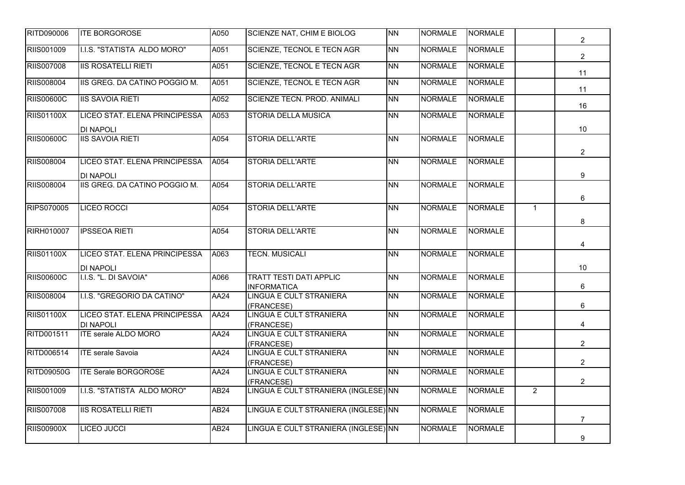| <b>RITD090006</b> | <b>ITE BORGOROSE</b>                            | A050        | <b>SCIENZE NAT, CHIM E BIOLOG</b>                  | <b>NN</b> | <b>NORMALE</b> | NORMALE        |                | $\overline{2}$  |
|-------------------|-------------------------------------------------|-------------|----------------------------------------------------|-----------|----------------|----------------|----------------|-----------------|
| RIIS001009        | I.I.S. "STATISTA ALDO MORO"                     | A051        | <b>SCIENZE, TECNOL E TECN AGR</b>                  | <b>NN</b> | <b>NORMALE</b> | <b>NORMALE</b> |                | $\overline{2}$  |
| <b>RIIS007008</b> | <b>IIS ROSATELLI RIETI</b>                      | A051        | <b>SCIENZE, TECNOL E TECN AGR</b>                  | <b>NN</b> | <b>NORMALE</b> | <b>NORMALE</b> |                |                 |
| <b>RIIS008004</b> | IIS GREG. DA CATINO POGGIO M.                   | A051        | <b>SCIENZE, TECNOL E TECN AGR</b>                  | <b>NN</b> | <b>NORMALE</b> | <b>NORMALE</b> |                | 11              |
| <b>RIIS00600C</b> | <b>IIS SAVOIA RIETI</b>                         | A052        | SCIENZE TECN. PROD. ANIMALI                        | <b>NN</b> | <b>NORMALE</b> | <b>NORMALE</b> |                | 11              |
| <b>RIIS01100X</b> | LICEO STAT. ELENA PRINCIPESSA                   | A053        | <b>STORIA DELLA MUSICA</b>                         | <b>NN</b> | <b>NORMALE</b> | <b>NORMALE</b> |                | 16              |
|                   | <b>DI NAPOLI</b>                                |             |                                                    |           |                |                |                | 10 <sup>°</sup> |
| <b>RIIS00600C</b> | <b>IIS SAVOIA RIETI</b>                         | A054        | STORIA DELL'ARTE                                   | <b>NN</b> | <b>NORMALE</b> | <b>NORMALE</b> |                |                 |
| RIIS008004        | LICEO STAT. ELENA PRINCIPESSA                   | A054        | <b>STORIA DELL'ARTE</b>                            | <b>NN</b> | <b>NORMALE</b> | <b>NORMALE</b> |                | $\overline{2}$  |
|                   | <b>DI NAPOLI</b>                                |             |                                                    |           |                |                |                | 9               |
| <b>RIIS008004</b> | IIS GREG. DA CATINO POGGIO M.                   | A054        | <b>STORIA DELL'ARTE</b>                            | <b>NN</b> | <b>NORMALE</b> | <b>NORMALE</b> |                |                 |
|                   |                                                 |             |                                                    |           |                |                |                | 6               |
| <b>RIPS070005</b> | <b>LICEO ROCCI</b>                              | A054        | <b>STORIA DELL'ARTE</b>                            | <b>NN</b> | <b>NORMALE</b> | <b>NORMALE</b> | $\mathbf{1}$   | 8               |
| <b>RIRH010007</b> | <b>IPSSEOA RIETI</b>                            | A054        | <b>STORIA DELL'ARTE</b>                            | <b>NN</b> | <b>NORMALE</b> | <b>NORMALE</b> |                |                 |
|                   |                                                 |             |                                                    |           |                |                |                | 4               |
| <b>RIIS01100X</b> | LICEO STAT. ELENA PRINCIPESSA                   | A063        | <b>TECN. MUSICALI</b>                              | <b>NN</b> | <b>NORMALE</b> | <b>NORMALE</b> |                |                 |
| <b>RIIS00600C</b> | <b>DI NAPOLI</b><br>I.I.S. "L. DI SAVOIA"       | A066        | <b>TRATT TESTI DATI APPLIC</b>                     | <b>NN</b> | <b>NORMALE</b> | NORMALE        |                | 10              |
|                   |                                                 |             | <b>INFORMATICA</b>                                 |           |                |                |                | 6               |
| RIIS008004        | I.I.S. "GREGORIO DA CATINO"                     | <b>AA24</b> | <b>LINGUA E CULT STRANIERA</b><br>(FRANCESE)       | <b>NN</b> | <b>NORMALE</b> | <b>NORMALE</b> |                | 6               |
| <b>RIIS01100X</b> | LICEO STAT. ELENA PRINCIPESSA                   | <b>AA24</b> | <b>LINGUA E CULT STRANIERA</b>                     | <b>NN</b> | <b>NORMALE</b> | <b>NORMALE</b> |                |                 |
| RITD001511        | <b>DI NAPOLI</b><br><b>ITE serale ALDO MORO</b> | <b>AA24</b> | (FRANCESE)<br>LINGUA E CULT STRANIERA              | <b>NN</b> | <b>NORMALE</b> | <b>NORMALE</b> |                | 4               |
|                   |                                                 |             | (FRANCESE)                                         |           |                |                |                | $\overline{2}$  |
| RITD006514        | <b>ITE</b> serale Savoia                        | AA24        | LINGUA E CULT STRANIERA<br>(FRANCESE)              | <b>NN</b> | <b>NORMALE</b> | <b>NORMALE</b> |                | $\overline{2}$  |
| <b>RITD09050G</b> | <b>ITE Serale BORGOROSE</b>                     | <b>AA24</b> | <b>LINGUA E CULT STRANIERA</b>                     | <b>NN</b> | <b>NORMALE</b> | <b>NORMALE</b> |                |                 |
| RIIS001009        | I.I.S. "STATISTA ALDO MORO"                     | AB24        | (FRANCESE)<br>LINGUA E CULT STRANIERA (INGLESE) NN |           | <b>NORMALE</b> | <b>NORMALE</b> | $\overline{2}$ | $\overline{2}$  |
|                   |                                                 |             |                                                    |           |                |                |                |                 |
| <b>RIIS007008</b> | <b>IIS ROSATELLI RIETI</b>                      | AB24        | LINGUA E CULT STRANIERA (INGLESE) NN               |           | <b>NORMALE</b> | <b>NORMALE</b> |                | $\overline{7}$  |
| <b>RIIS00900X</b> | <b>LICEO JUCCI</b>                              | <b>AB24</b> | LINGUA E CULT STRANIERA (INGLESE) NN               |           | <b>NORMALE</b> | <b>NORMALE</b> |                |                 |
|                   |                                                 |             |                                                    |           |                |                |                | 9               |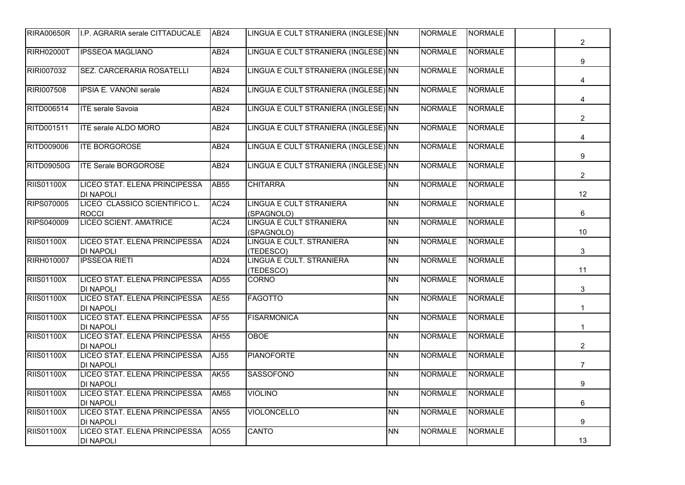| <b>RIRA00650R</b> | II.P. AGRARIA serale CITTADUCALE                  | <b>AB24</b>      | LINGUA E CULT STRANIERA (INGLESE) NN         |           | <b>NORMALE</b> | NORMALE        | $\overline{2}$  |
|-------------------|---------------------------------------------------|------------------|----------------------------------------------|-----------|----------------|----------------|-----------------|
| <b>RIRH02000T</b> | <b>IPSSEOA MAGLIANO</b>                           | <b>AB24</b>      | LINGUA E CULT STRANIERA (INGLESE) NN         |           | <b>NORMALE</b> | <b>NORMALE</b> | 9               |
| RIRI007032        | SEZ. CARCERARIA ROSATELLI                         | <b>AB24</b>      | LINGUA E CULT STRANIERA (INGLESE) NN         |           | <b>NORMALE</b> | <b>NORMALE</b> | 4               |
| RIRI007508        | IPSIA E. VANONI serale                            | <b>AB24</b>      | LINGUA E CULT STRANIERA (INGLESE) NN         |           | <b>NORMALE</b> | <b>NORMALE</b> | $\overline{4}$  |
| RITD006514        | <b>ITE</b> serale Savoia                          | AB24             | LINGUA E CULT STRANIERA (INGLESE) NN         |           | <b>NORMALE</b> | <b>NORMALE</b> | $\overline{2}$  |
| RITD001511        | <b>ITE serale ALDO MORO</b>                       | AB <sub>24</sub> | LINGUA E CULT STRANIERA (INGLESE) NN         |           | <b>NORMALE</b> | <b>NORMALE</b> | $\overline{4}$  |
| RITD009006        | <b>ITE BORGOROSE</b>                              | <b>AB24</b>      | LINGUA E CULT STRANIERA (INGLESE) NN         |           | <b>NORMALE</b> | <b>NORMALE</b> | 9               |
| <b>RITD09050G</b> | <b>ITE Serale BORGOROSE</b>                       | AB24             | LINGUA E CULT STRANIERA (INGLESE) NN         |           | <b>NORMALE</b> | <b>NORMALE</b> | $\overline{2}$  |
| <b>RIIS01100X</b> | LICEO STAT. ELENA PRINCIPESSA<br><b>DI NAPOLI</b> | AB55             | <b>CHITARRA</b>                              | <b>NN</b> | <b>NORMALE</b> | <b>NORMALE</b> | 12              |
| <b>RIPS070005</b> | LICEO CLASSICO SCIENTIFICO L.<br><b>ROCCI</b>     | AC <sub>24</sub> | <b>LINGUA E CULT STRANIERA</b><br>(SPAGNOLO) | <b>NN</b> | <b>NORMALE</b> | <b>NORMALE</b> | 6               |
| <b>RIPS040009</b> | <b>LICEO SCIENT. AMATRICE</b>                     | AC24             | <b>LINGUA E CULT STRANIERA</b><br>(SPAGNOLO) | <b>NN</b> | <b>NORMALE</b> | <b>NORMALE</b> | 10 <sup>°</sup> |
| <b>RIIS01100X</b> | LICEO STAT. ELENA PRINCIPESSA<br><b>DI NAPOLI</b> | AD <sub>24</sub> | LINGUA E CULT. STRANIERA<br>(TEDESCO)        | <b>NN</b> | <b>NORMALE</b> | <b>NORMALE</b> | 3               |
| <b>RIRH010007</b> | <b>IPSSEOA RIETI</b>                              | AD24             | LINGUA E CULT. STRANIERA<br>(TEDESCO)        | <b>NN</b> | <b>NORMALE</b> | <b>NORMALE</b> | 11              |
| <b>RIIS01100X</b> | LICEO STAT. ELENA PRINCIPESSA<br><b>DI NAPOLI</b> | AD55             | <b>CORNO</b>                                 | <b>NN</b> | <b>NORMALE</b> | <b>NORMALE</b> | $\mathbf{3}$    |
| <b>RIIS01100X</b> | LICEO STAT. ELENA PRINCIPESSA<br><b>DI NAPOLI</b> | <b>AE55</b>      | <b>FAGOTTO</b>                               | <b>NN</b> | <b>NORMALE</b> | <b>NORMALE</b> | $\mathbf{1}$    |
| <b>RIIS01100X</b> | LICEO STAT. ELENA PRINCIPESSA<br><b>DI NAPOLI</b> | AF <sub>55</sub> | <b>FISARMONICA</b>                           | <b>NN</b> | <b>NORMALE</b> | <b>NORMALE</b> | $\mathbf{1}$    |
| <b>RIIS01100X</b> | LICEO STAT. ELENA PRINCIPESSA<br><b>DI NAPOLI</b> | <b>AH55</b>      | <b>OBOE</b>                                  | <b>NN</b> | <b>NORMALE</b> | <b>NORMALE</b> | $\overline{2}$  |
| <b>RIIS01100X</b> | LICEO STAT. ELENA PRINCIPESSA<br><b>DI NAPOLI</b> | AJ55             | <b>PIANOFORTE</b>                            | <b>NN</b> | <b>NORMALE</b> | <b>NORMALE</b> | $\overline{7}$  |
| <b>RIIS01100X</b> | LICEO STAT. ELENA PRINCIPESSA<br><b>DI NAPOLI</b> | <b>AK55</b>      | <b>SASSOFONO</b>                             | <b>NN</b> | <b>NORMALE</b> | <b>NORMALE</b> | 9               |
| <b>RIIS01100X</b> | LICEO STAT. ELENA PRINCIPESSA<br><b>DI NAPOLI</b> | AM55             | <b>VIOLINO</b>                               | <b>NN</b> | <b>NORMALE</b> | <b>NORMALE</b> | 6               |
| <b>RIIS01100X</b> | LICEO STAT. ELENA PRINCIPESSA<br><b>DI NAPOLI</b> | <b>AN55</b>      | <b>VIOLONCELLO</b>                           | <b>NN</b> | <b>NORMALE</b> | <b>NORMALE</b> | 9               |
| <b>RIIS01100X</b> | LICEO STAT. ELENA PRINCIPESSA<br><b>DI NAPOLI</b> | AO55             | <b>CANTO</b>                                 | <b>NN</b> | <b>NORMALE</b> | <b>NORMALE</b> | 13              |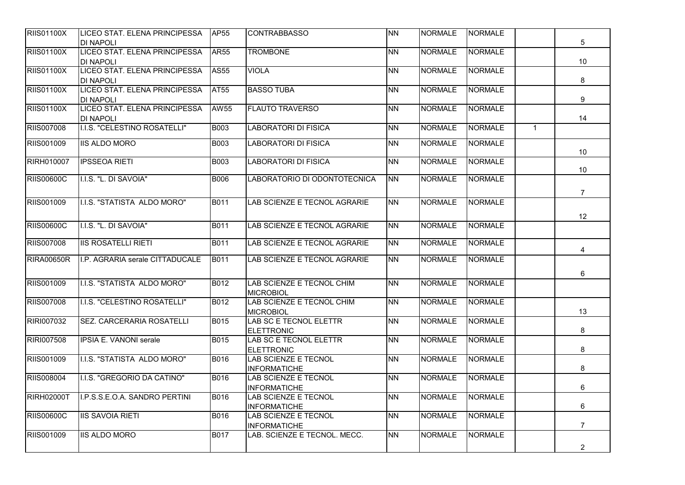| <b>RIIS01100X</b> | LICEO STAT. ELENA PRINCIPESSA   | AP55        | <b>CONTRABBASSO</b>           | <b>NN</b> | <b>NORMALE</b> | <b>NORMALE</b> |              |                 |
|-------------------|---------------------------------|-------------|-------------------------------|-----------|----------------|----------------|--------------|-----------------|
|                   | <b>DI NAPOLI</b>                |             |                               |           |                |                |              | 5               |
| <b>RIIS01100X</b> | LICEO STAT. ELENA PRINCIPESSA   | <b>AR55</b> | <b>TROMBONE</b>               | <b>NN</b> | <b>NORMALE</b> | <b>NORMALE</b> |              |                 |
|                   | DI NAPOLI                       |             |                               |           |                |                |              | 10 <sup>°</sup> |
| <b>RIIS01100X</b> | LICEO STAT. ELENA PRINCIPESSA   | AS55        | <b>VIOLA</b>                  | <b>NN</b> | <b>NORMALE</b> | <b>NORMALE</b> |              |                 |
|                   | <b>DI NAPOLI</b>                |             |                               |           |                |                |              | 8               |
| <b>RIIS01100X</b> | LICEO STAT. ELENA PRINCIPESSA   | AT55        | <b>BASSO TUBA</b>             | <b>NN</b> | <b>NORMALE</b> | <b>NORMALE</b> |              |                 |
|                   | <b>DI NAPOLI</b>                |             |                               |           |                |                |              | 9               |
| <b>RIIS01100X</b> | LICEO STAT. ELENA PRINCIPESSA   | AW55        | <b>FLAUTO TRAVERSO</b>        | <b>NN</b> | <b>NORMALE</b> | <b>NORMALE</b> |              |                 |
|                   | <b>DI NAPOLI</b>                |             |                               |           |                |                |              | 14              |
| <b>RIIS007008</b> | I.I.S. "CELESTINO ROSATELLI"    | <b>B003</b> | <b>LABORATORI DI FISICA</b>   | <b>NN</b> | <b>NORMALE</b> | <b>NORMALE</b> | $\mathbf{1}$ |                 |
| RIIS001009        | <b>IIS ALDO MORO</b>            | <b>B003</b> | <b>LABORATORI DI FISICA</b>   | <b>NN</b> | <b>NORMALE</b> | <b>NORMALE</b> |              |                 |
|                   |                                 |             |                               |           |                |                |              | 10 <sup>°</sup> |
| <b>RIRH010007</b> | <b>IPSSEOA RIETI</b>            | B003        | <b>LABORATORI DI FISICA</b>   | NΝ        | <b>NORMALE</b> | <b>NORMALE</b> |              |                 |
|                   |                                 |             |                               |           |                |                |              | 10              |
| <b>RIIS00600C</b> | I.I.S. "L. DI SAVOIA"           | B006        | LABORATORIO DI ODONTOTECNICA  | <b>NN</b> | <b>NORMALE</b> | <b>NORMALE</b> |              |                 |
|                   |                                 |             |                               |           |                |                |              | $\overline{7}$  |
| RIIS001009        | I.I.S. "STATISTA ALDO MORO"     | <b>B011</b> | LAB SCIENZE E TECNOL AGRARIE  | <b>NN</b> | <b>NORMALE</b> | <b>NORMALE</b> |              |                 |
|                   |                                 |             |                               |           |                |                |              |                 |
|                   |                                 |             |                               |           |                |                |              | 12              |
| <b>RIIS00600C</b> | I.I.S. "L. DI SAVOIA"           | B011        | LAB SCIENZE E TECNOL AGRARIE  | <b>NN</b> | <b>NORMALE</b> | <b>NORMALE</b> |              |                 |
| <b>RIIS007008</b> | <b>IIS ROSATELLI RIETI</b>      | <b>B011</b> | LAB SCIENZE E TECNOL AGRARIE  | <b>NN</b> | <b>NORMALE</b> | NORMALE        |              |                 |
|                   |                                 |             |                               |           |                |                |              | 4               |
| <b>RIRA00650R</b> | I.P. AGRARIA serale CITTADUCALE | <b>B011</b> | LAB SCIENZE E TECNOL AGRARIE  | <b>NN</b> | <b>NORMALE</b> | <b>NORMALE</b> |              |                 |
|                   |                                 |             |                               |           |                |                |              | 6               |
| RIIS001009        | I.I.S. "STATISTA ALDO MORO"     | B012        | LAB SCIENZE E TECNOL CHIM     | <b>NN</b> | <b>NORMALE</b> | NORMALE        |              |                 |
|                   |                                 |             | <b>MICROBIOL</b>              |           |                |                |              |                 |
| <b>RIIS007008</b> | I.I.S. "CELESTINO ROSATELLI"    | B012        | LAB SCIENZE E TECNOL CHIM     | <b>NN</b> | <b>NORMALE</b> | <b>NORMALE</b> |              |                 |
|                   |                                 |             | <b>MICROBIOL</b>              |           |                |                |              | 13              |
| RIRI007032        | SEZ. CARCERARIA ROSATELLI       | <b>B015</b> | LAB SC E TECNOL ELETTR        | <b>NN</b> | <b>NORMALE</b> | <b>NORMALE</b> |              |                 |
|                   |                                 |             | <b>ELETTRONIC</b>             |           |                |                |              | 8               |
| <b>RIRI007508</b> | <b>IPSIA E. VANONI serale</b>   | B015        | <b>LAB SC E TECNOL ELETTR</b> | <b>NN</b> | <b>NORMALE</b> | <b>NORMALE</b> |              |                 |
|                   |                                 |             | <b>ELETTRONIC</b>             |           |                |                |              | 8               |
| RIIS001009        | I.I.S. "STATISTA ALDO MORO"     | B016        | <b>LAB SCIENZE E TECNOL</b>   | <b>NN</b> | <b>NORMALE</b> | <b>NORMALE</b> |              |                 |
|                   |                                 |             | <b>INFORMATICHE</b>           |           |                |                |              | 8               |
| RIIS008004        | I.I.S. "GREGORIO DA CATINO"     | <b>B016</b> | LAB SCIENZE E TECNOL          | <b>NN</b> | <b>NORMALE</b> | <b>NORMALE</b> |              |                 |
|                   |                                 |             | <b>INFORMATICHE</b>           |           |                |                |              | 6               |
| <b>RIRH02000T</b> | I.P.S.S.E.O.A. SANDRO PERTINI   | <b>B016</b> | <b>LAB SCIENZE E TECNOL</b>   | <b>NN</b> | <b>NORMALE</b> | <b>NORMALE</b> |              |                 |
|                   |                                 |             | <b>INFORMATICHE</b>           |           |                |                |              | 6               |
| <b>RIIS00600C</b> | <b>IIS SAVOIA RIETI</b>         | B016        | <b>LAB SCIENZE E TECNOL</b>   | <b>NN</b> | <b>NORMALE</b> | <b>NORMALE</b> |              |                 |
|                   |                                 |             | <b>INFORMATICHE</b>           |           |                |                |              | $\overline{7}$  |
| RIIS001009        | <b>IIS ALDO MORO</b>            | B017        | LAB. SCIENZE E TECNOL. MECC.  | <b>NN</b> | <b>NORMALE</b> | <b>NORMALE</b> |              |                 |
|                   |                                 |             |                               |           |                |                |              | $\overline{2}$  |